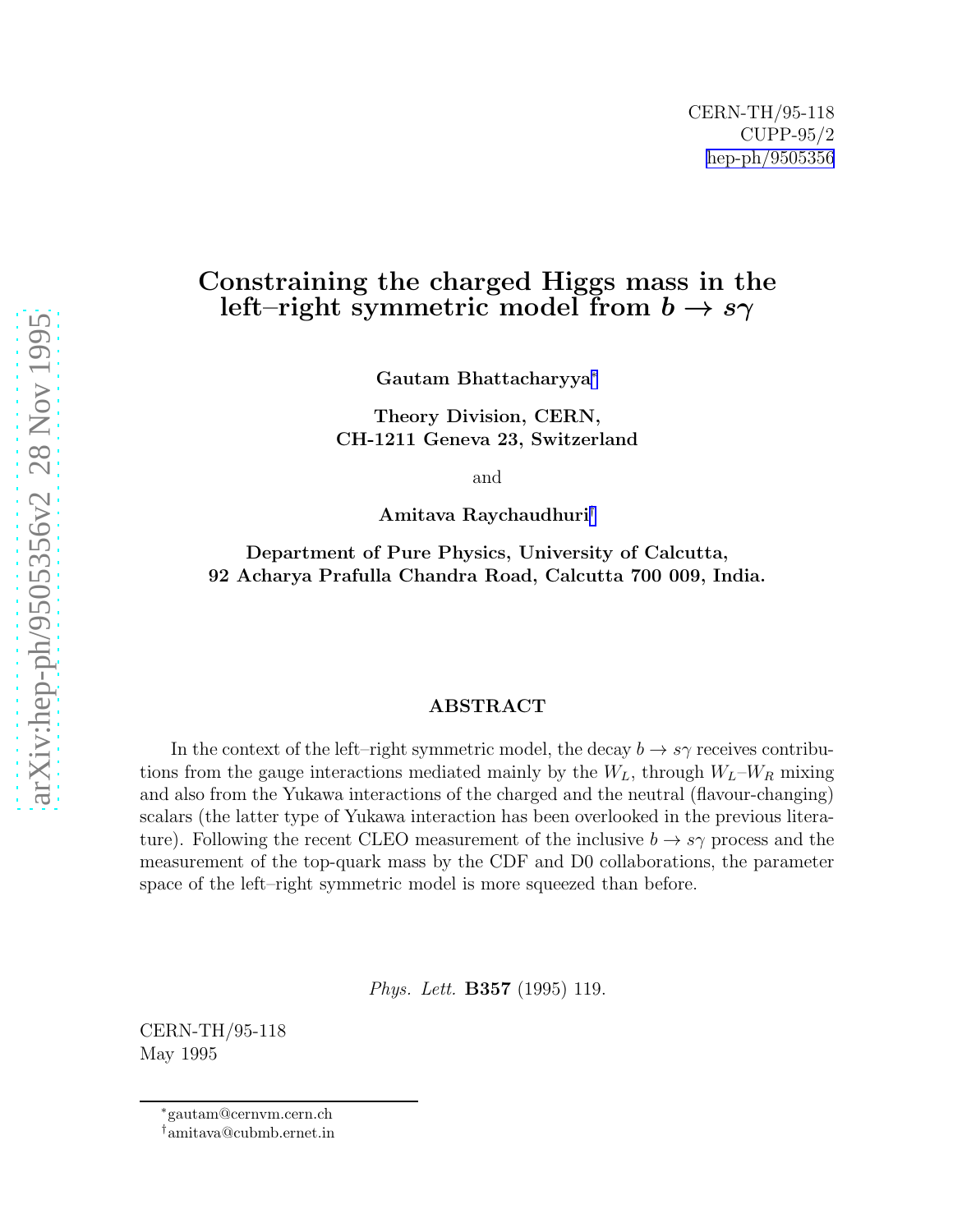## Constraining the charged Higgs mass in the left–right symmetric model from  $b \rightarrow s\gamma$

Gautam Bhattacharyya ∗

Theory Division, CERN, CH-1211 Geneva 23, Switzerland

and

Amitava Raychaudhuri †

Department of Pure Physics, University of Calcutta, 92 Acharya Prafulla Chandra Road, Calcutta 700 009, India.

## ABSTRACT

In the context of the left–right symmetric model, the decay  $b \to s\gamma$  receives contributions from the gauge interactions mediated mainly by the  $W_L$ , through  $W_L-W_R$  mixing and also from the Yukawa interactions of the charged and the neutral (flavour-changing) scalars (the latter type of Yukawa interaction has been overlooked in the previous literature). Following the recent CLEO measurement of the inclusive  $b \to s\gamma$  process and the measurement of the top-quark mass by the CDF and D0 collaborations, the parameter space of the left–right symmetric model is more squeezed than before.

Phys. Lett. B357 (1995) 119.

CERN-TH/95-118 May 1995

<sup>∗</sup>gautam@cernvm.cern.ch

<sup>†</sup>amitava@cubmb.ernet.in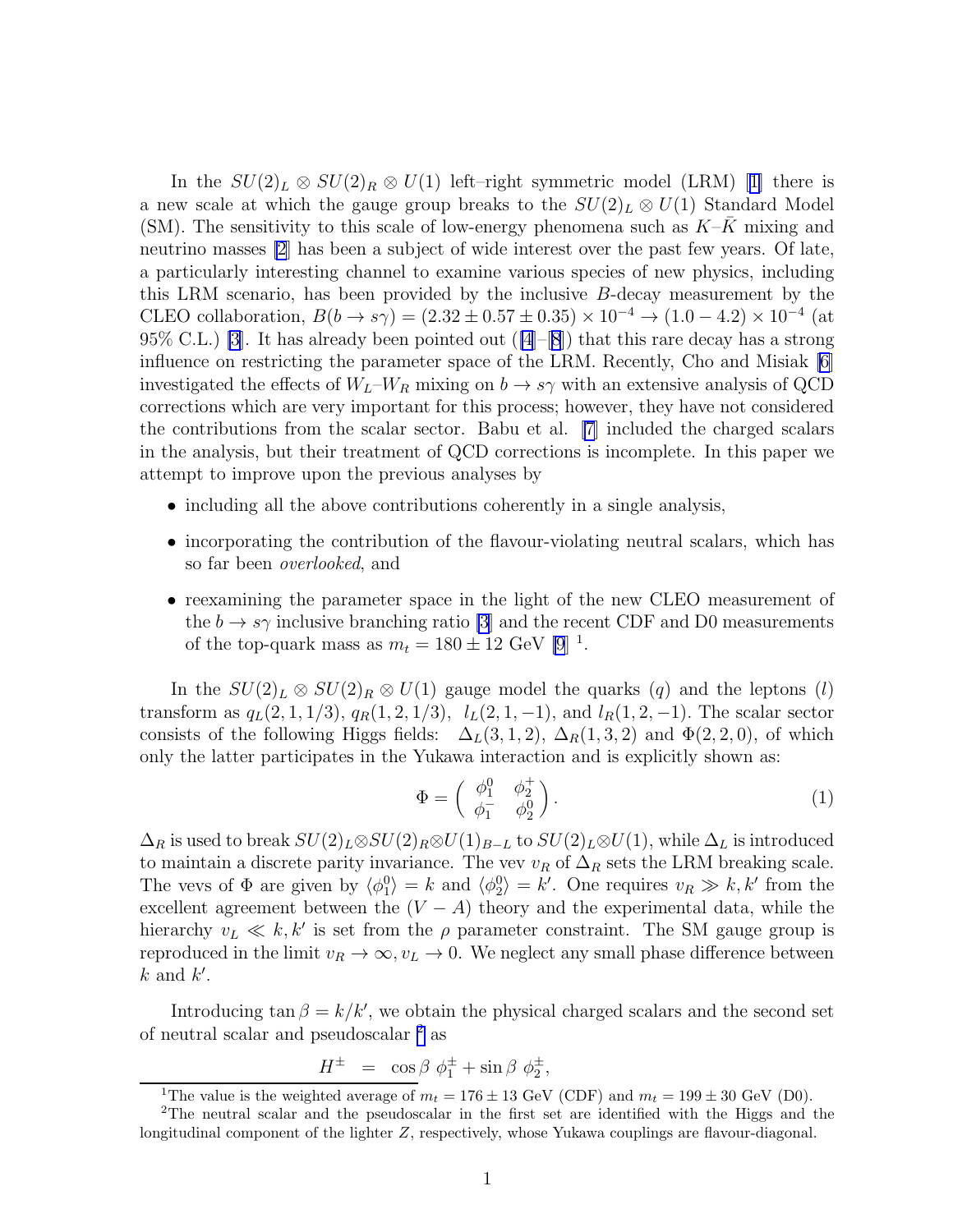Inthe  $SU(2)_L \otimes SU(2)_R \otimes U(1)$  left–right symmetric model (LRM) [[1\]](#page-7-0) there is a new scale at which the gauge group breaks to the  $SU(2)_L \otimes U(1)$  Standard Model (SM). The sensitivity to this scale of low-energy phenomena such as  $K-K$  mixing and neutrino masses [\[2](#page-7-0)] has been a subject of wide interest over the past few years. Of late, a particularly interesting channel to examine various species of new physics, including this LRM scenario, has been provided by the inclusive  $B$ -decay measurement by the CLEO collaboration,  $B(b \to s\gamma) = (2.32 \pm 0.57 \pm 0.35) \times 10^{-4} \to (1.0 - 4.2) \times 10^{-4}$  (at 95% C.L.) [\[3](#page-7-0)]. It has already been pointed out  $([4]-[8])$  $([4]-[8])$  $([4]-[8])$  $([4]-[8])$  $([4]-[8])$  that this rare decay has a strong influence on restricting the parameter space of the LRM. Recently, Cho and Misiak [\[6](#page-7-0)] investigated the effects of  $W_L-W_R$  mixing on  $b \to s\gamma$  with an extensive analysis of QCD corrections which are very important for this process; however, they have not considered the contributions from the scalar sector. Babu et al. [\[7\]](#page-7-0) included the charged scalars in the analysis, but their treatment of QCD corrections is incomplete. In this paper we attempt to improve upon the previous analyses by

- including all the above contributions coherently in a single analysis,
- incorporating the contribution of the flavour-violating neutral scalars, which has so far been overlooked, and
- reexamining the parameter space in the light of the new CLEO measurement of the  $b \to s\gamma$  inclusive branching ratio [\[3](#page-7-0)] and the recent CDF and D0 measurements of the top-quark mass as  $m_t = 180 \pm 12$  GeV [\[9](#page-7-0)]<sup>1</sup>.

In the  $SU(2)_L \otimes SU(2)_R \otimes U(1)$  gauge model the quarks  $(q)$  and the leptons  $(l)$ transform as  $q_L(2,1,1/3), q_R(1,2,1/3), l_L(2,1,-1),$  and  $l_R(1,2,-1)$ . The scalar sector consists of the following Higgs fields:  $\Delta_L(3,1,2)$ ,  $\Delta_R(1,3,2)$  and  $\Phi(2,2,0)$ , of which only the latter participates in the Yukawa interaction and is explicitly shown as:

$$
\Phi = \begin{pmatrix} \phi_1^0 & \phi_2^+ \\ \phi_1^- & \phi_2^0 \end{pmatrix} . \tag{1}
$$

 $\Delta_R$  is used to break  $SU(2)_L \otimes SU(2)_R \otimes U(1)_{B-L}$  to  $SU(2)_L \otimes U(1)$ , while  $\Delta_L$  is introduced to maintain a discrete parity invariance. The vev  $v_R$  of  $\Delta_R$  sets the LRM breaking scale. The vevs of  $\Phi$  are given by  $\langle \phi_1^0 \rangle = k$  and  $\langle \phi_2^0 \rangle = k'$ . One requires  $v_R \gg k, k'$  from the excellent agreement between the  $(V - A)$  theory and the experimental data, while the hierarchy  $v_L \ll k, k'$  is set from the  $\rho$  parameter constraint. The SM gauge group is reproduced in the limit  $v_R \to \infty$ ,  $v_L \to 0$ . We neglect any small phase difference between  $k$  and  $k'$ .

Introducing tan  $\beta = k/k'$ , we obtain the physical charged scalars and the second set of neutral scalar and pseudoscalar <sup>2</sup> as

$$
H^{\pm} = \cos \beta \phi_1^{\pm} + \sin \beta \phi_2^{\pm},
$$

<sup>&</sup>lt;sup>1</sup>The value is the weighted average of  $m_t = 176 \pm 13$  GeV (CDF) and  $m_t = 199 \pm 30$  GeV (D0).

<sup>2</sup>The neutral scalar and the pseudoscalar in the first set are identified with the Higgs and the longitudinal component of the lighter Z, respectively, whose Yukawa couplings are flavour-diagonal.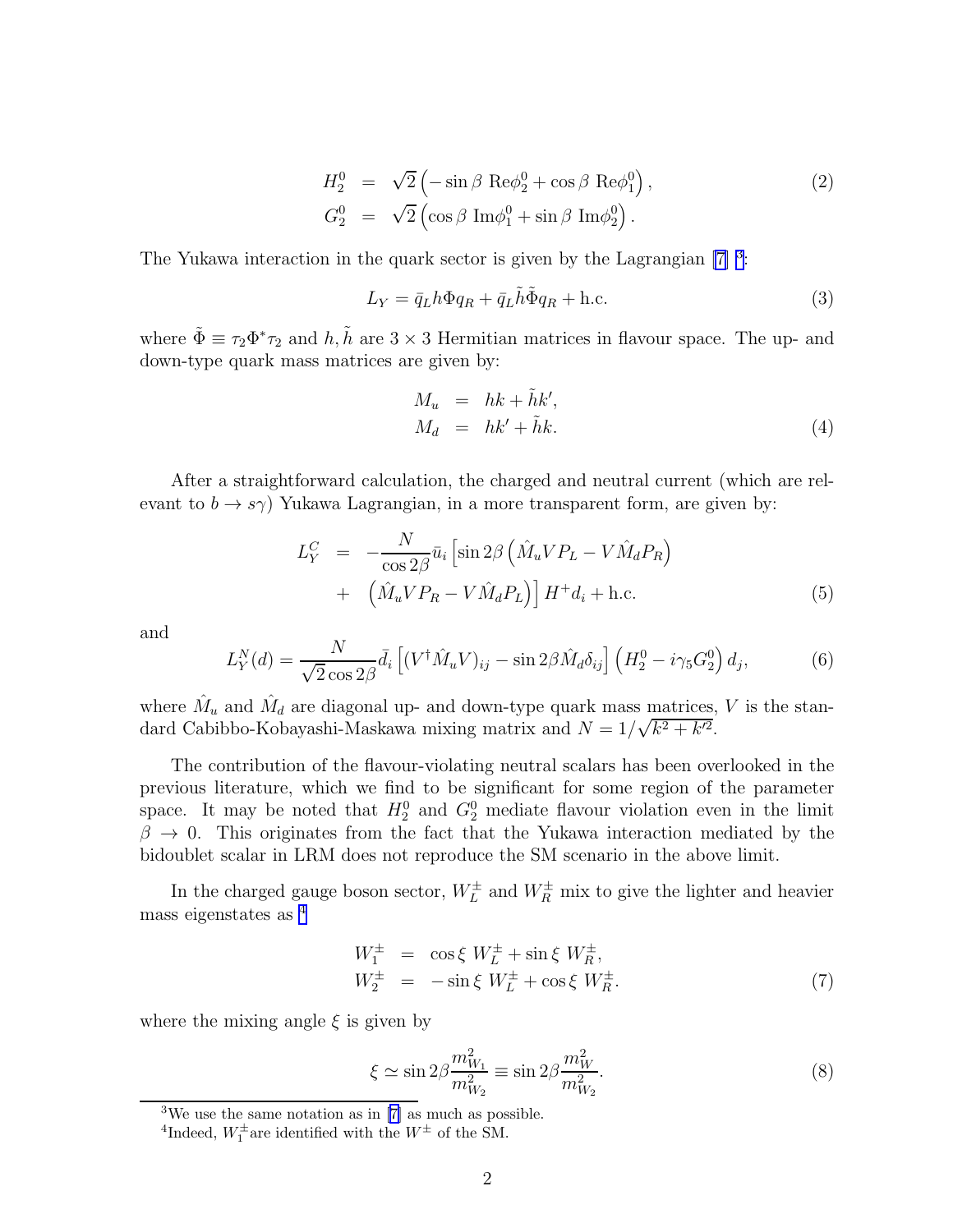$$
H_2^0 = \sqrt{2} \left( -\sin \beta \text{ Re}\phi_2^0 + \cos \beta \text{ Re}\phi_1^0 \right),
$$
  
\n
$$
G_2^0 = \sqrt{2} \left( \cos \beta \text{ Im}\phi_1^0 + \sin \beta \text{ Im}\phi_2^0 \right).
$$
\n(2)

The Yukawa interaction in the quark sector is given by the Lagrangian  $[7]$ <sup>3</sup>:

$$
L_Y = \bar{q}_L h \Phi q_R + \bar{q}_L \tilde{h} \tilde{\Phi} q_R + \text{h.c.}
$$
\n(3)

where  $\tilde{\Phi} \equiv \tau_2 \Phi^* \tau_2$  and  $h, \tilde{h}$  are  $3 \times 3$  Hermitian matrices in flavour space. The up- and down-type quark mass matrices are given by:

$$
M_u = hk + \tilde{h}k',
$$
  
\n
$$
M_d = hk' + \tilde{h}k.
$$
\n(4)

After a straightforward calculation, the charged and neutral current (which are relevant to  $b \to s\gamma$ ) Yukawa Lagrangian, in a more transparent form, are given by:

$$
L_Y^C = -\frac{N}{\cos 2\beta} \bar{u}_i \left[ \sin 2\beta \left( \hat{M}_u V P_L - V \hat{M}_d P_R \right) + \left( \hat{M}_u V P_R - V \hat{M}_d P_L \right) \right] H^+ d_i + \text{h.c.}
$$
\n(5)

and

$$
L_Y^N(d) = \frac{N}{\sqrt{2}\cos 2\beta} \bar{d}_i \left[ (V^\dagger \hat{M}_u V)_{ij} - \sin 2\beta \hat{M}_d \delta_{ij} \right] \left( H_2^0 - i\gamma_5 G_2^0 \right) d_j,\tag{6}
$$

where  $\hat{M}_u$  and  $\hat{M}_d$  are diagonal up- and down-type quark mass matrices, V is the standard Cabibbo-Kobayashi-Maskawa mixing matrix and  $N = 1/\sqrt{k^2 + k'^2}$ .

The contribution of the flavour-violating neutral scalars has been overlooked in the previous literature, which we find to be significant for some region of the parameter space. It may be noted that  $H_2^0$  and  $G_2^0$  mediate flavour violation even in the limit  $\beta \to 0$ . This originates from the fact that the Yukawa interaction mediated by the bidoublet scalar in LRM does not reproduce the SM scenario in the above limit.

In the charged gauge boson sector,  $W_L^{\pm}$  and  $W_R^{\pm}$  mix to give the lighter and heavier mass eigenstates as <sup>4</sup>

$$
W_1^{\pm} = \cos \xi W_L^{\pm} + \sin \xi W_R^{\pm}, W_2^{\pm} = -\sin \xi W_L^{\pm} + \cos \xi W_R^{\pm}.
$$
 (7)

where the mixing angle  $\xi$  is given by

$$
\xi \simeq \sin 2\beta \frac{m_{W_1}^2}{m_{W_2}^2} \equiv \sin 2\beta \frac{m_W^2}{m_{W_2}^2}.
$$
\n(8)

<sup>&</sup>lt;sup>3</sup>Weuse the same notation as in  $[7]$  $[7]$  as much as possible.

<sup>&</sup>lt;sup>4</sup>Indeed,  $W_1^{\pm}$  are identified with the  $W^{\pm}$  of the SM.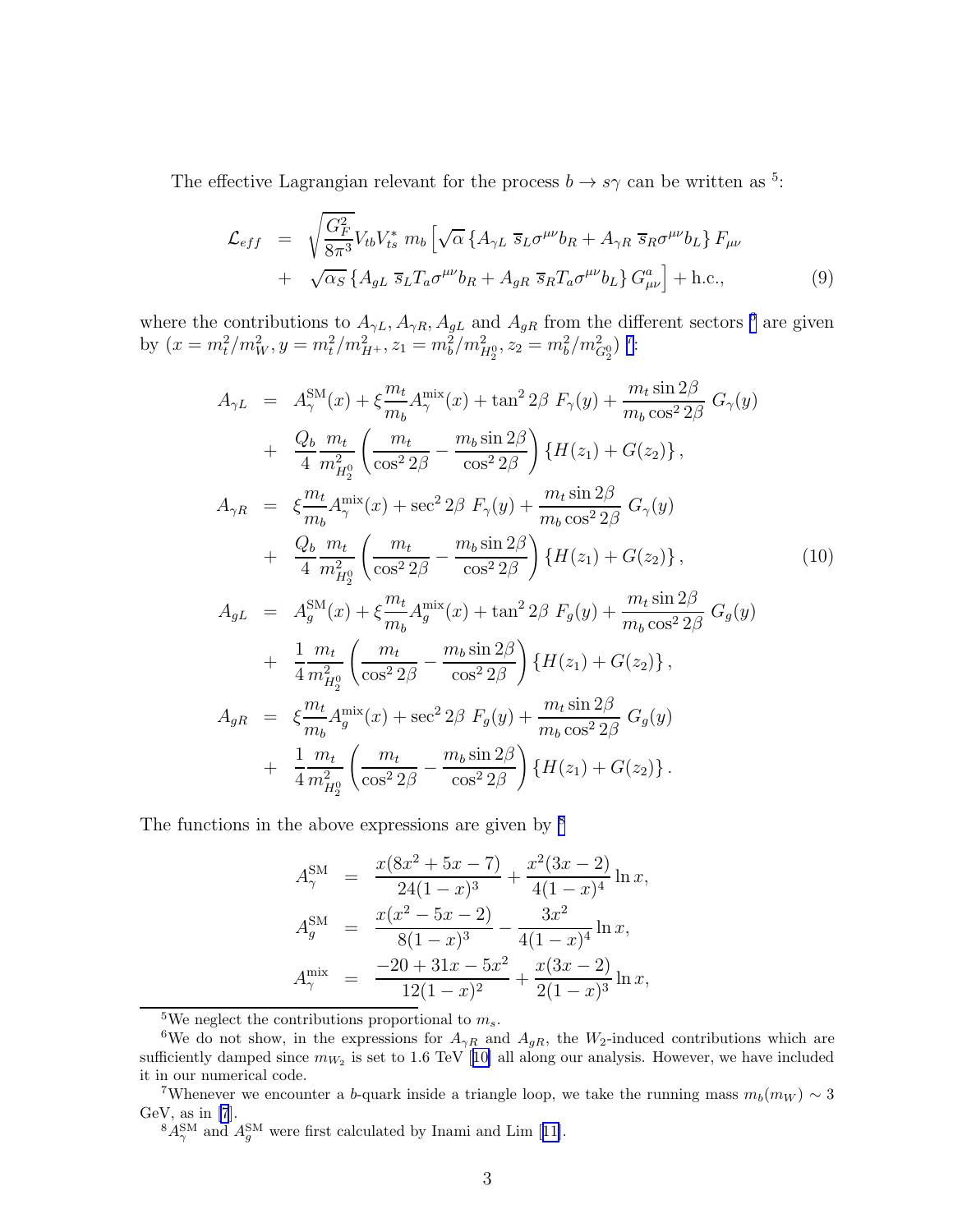The effective Lagrangian relevant for the process  $b \to s\gamma$  can be written as <sup>5</sup>:

$$
\mathcal{L}_{eff} = \sqrt{\frac{G_F^2}{8\pi^3}} V_{tb} V_{ts}^* m_b \left[ \sqrt{\alpha} \left\{ A_{\gamma L} \overline{s}_L \sigma^{\mu\nu} b_R + A_{\gamma R} \overline{s}_R \sigma^{\mu\nu} b_L \right\} F_{\mu\nu} \right. \n+ \sqrt{\alpha_S} \left\{ A_{gL} \overline{s}_L T_a \sigma^{\mu\nu} b_R + A_{gR} \overline{s}_R T_a \sigma^{\mu\nu} b_L \right\} G_{\mu\nu}^a \right\} + \text{h.c.,}
$$
\n(9)

where the contributions to  $A_{\gamma L}$ ,  $A_{\gamma R}$ ,  $A_{gL}$  and  $A_{gR}$  from the different sectors <sup>6</sup> are given by  $(x = m_t^2/m_W^2, y = m_t^2/m_{H^+}^2, z_1 = m_b^2/m_{H_2^0}^2, z_2 = m_b^2/m_{G_2^0}^2$ <sup>7</sup>:

$$
A_{\gamma L} = A_{\gamma}^{SM}(x) + \xi \frac{m_t}{m_b} A_{\gamma}^{mix}(x) + \tan^2 2\beta F_{\gamma}(y) + \frac{m_t \sin 2\beta}{m_b \cos^2 2\beta} G_{\gamma}(y) + \frac{Q_b}{4} \frac{m_t}{m_{H_2^0}} \left( \frac{m_t}{\cos^2 2\beta} - \frac{m_b \sin 2\beta}{\cos^2 2\beta} \right) \{H(z_1) + G(z_2)\},
$$
  

$$
A_{\gamma R} = \xi \frac{m_t}{m_b} A_{\gamma}^{mix}(x) + \sec^2 2\beta F_{\gamma}(y) + \frac{m_t \sin 2\beta}{m_b \cos^2 2\beta} G_{\gamma}(y) + \frac{Q_b}{4} \frac{m_t}{m_{H_2^0}} \left( \frac{m_t}{\cos^2 2\beta} - \frac{m_b \sin 2\beta}{\cos^2 2\beta} \right) \{H(z_1) + G(z_2)\},
$$
  

$$
A_{gL} = A_{g}^{SM}(x) + \xi \frac{m_t}{m_b} A_{g}^{mix}(x) + \tan^2 2\beta F_g(y) + \frac{m_t \sin 2\beta}{m_b \cos^2 2\beta} G_g(y) + \frac{1}{4} \frac{m_t}{m_{H_2^0}} \left( \frac{m_t}{\cos^2 2\beta} - \frac{m_b \sin 2\beta}{\cos^2 2\beta} \right) \{H(z_1) + G(z_2)\},
$$
  

$$
A_{gR} = \xi \frac{m_t}{m_b} A_{g}^{mix}(x) + \sec^2 2\beta F_g(y) + \frac{m_t \sin 2\beta}{m_b \cos^2 2\beta} G_g(y) + \frac{1}{4} \frac{m_t}{m_{H_2^0}} \left( \frac{m_t}{\cos^2 2\beta} - \frac{m_b \sin 2\beta}{\cos^2 2\beta} \right) \{H(z_1) + G(z_2)\}.
$$

The functions in the above expressions are given by  $\frac{8}{3}$ 

$$
A_{\gamma}^{\text{SM}} = \frac{x(8x^2 + 5x - 7)}{24(1 - x)^3} + \frac{x^2(3x - 2)}{4(1 - x)^4} \ln x,
$$
  
\n
$$
A_g^{\text{SM}} = \frac{x(x^2 - 5x - 2)}{8(1 - x)^3} - \frac{3x^2}{4(1 - x)^4} \ln x,
$$
  
\n
$$
A_{\gamma}^{\text{mix}} = \frac{-20 + 31x - 5x^2}{12(1 - x)^2} + \frac{x(3x - 2)}{2(1 - x)^3} \ln x,
$$

<sup>5</sup>We neglect the contributions proportional to  $m_s$ .

<sup>&</sup>lt;sup>6</sup>We do not show, in the expressions for  $A_{\gamma R}$  and  $A_{gR}$ , the  $W_2$ -induced contributions which are sufficientlydamped since  $m_{W_2}$  is set to 1.6 TeV [[10\]](#page-7-0) all along our analysis. However, we have included it in our numerical code.

<sup>&</sup>lt;sup>7</sup>Whenever we encounter a b-quark inside a triangle loop, we take the running mass  $m_b(m_W) \sim 3$ GeV, as in  $[7]$ .

 $8A_{\gamma}^{\text{SM}}$ and  $A_g^{\text{SM}}$  were first calculated by Inami and Lim [[11\]](#page-7-0).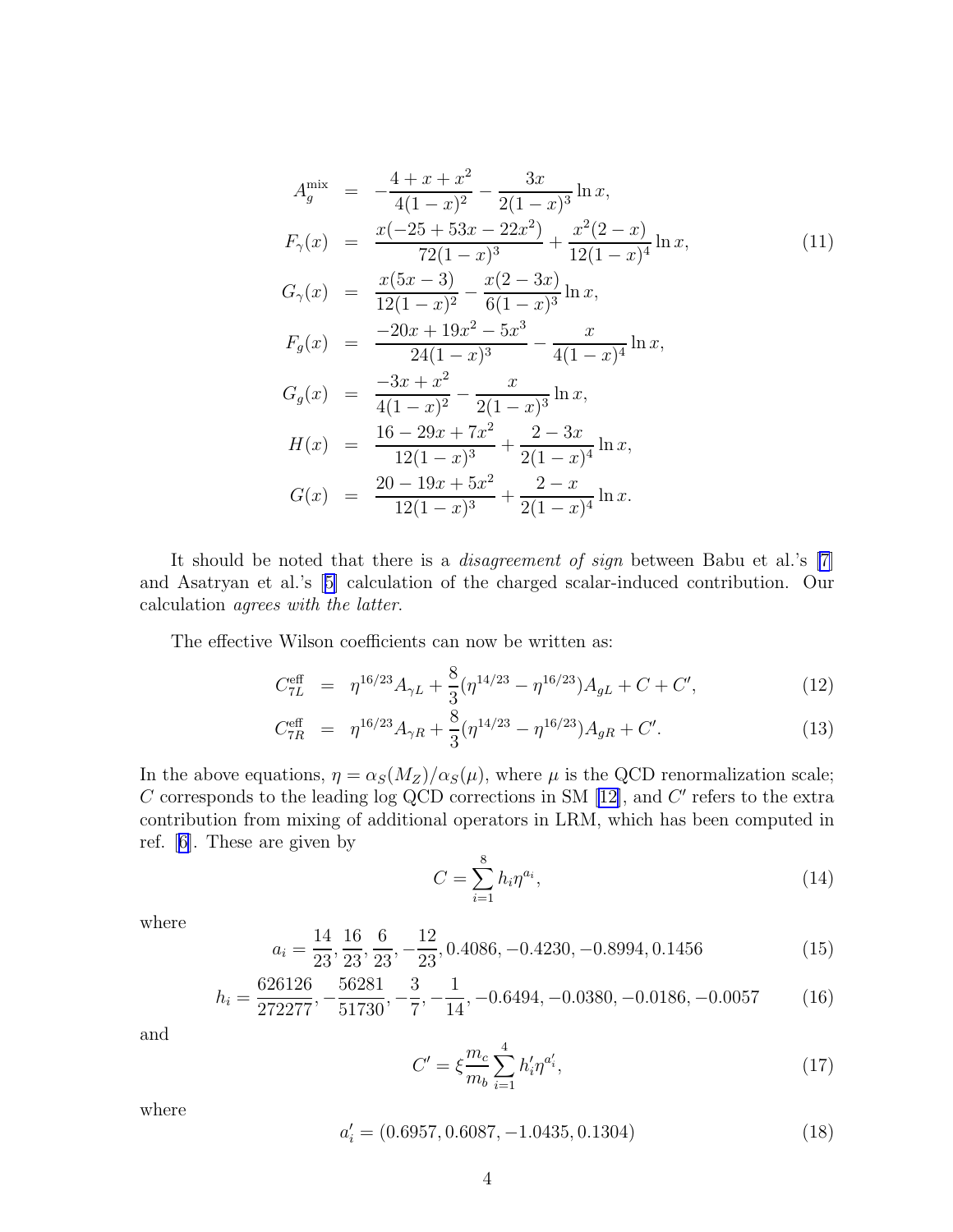$$
A_{g}^{\min} = -\frac{4+x+x^{2}}{4(1-x)^{2}} - \frac{3x}{2(1-x)^{3}} \ln x,
$$
  
\n
$$
F_{\gamma}(x) = \frac{x(-25+53x-22x^{2})}{72(1-x)^{3}} + \frac{x^{2}(2-x)}{12(1-x)^{4}} \ln x,
$$
  
\n
$$
G_{\gamma}(x) = \frac{x(5x-3)}{12(1-x)^{2}} - \frac{x(2-3x)}{6(1-x)^{3}} \ln x,
$$
  
\n
$$
F_{g}(x) = \frac{-20x+19x^{2}-5x^{3}}{24(1-x)^{3}} - \frac{x}{4(1-x)^{4}} \ln x,
$$
  
\n
$$
G_{g}(x) = \frac{-3x+x^{2}}{4(1-x)^{2}} - \frac{x}{2(1-x)^{3}} \ln x,
$$
  
\n
$$
H(x) = \frac{16-29x+7x^{2}}{12(1-x)^{3}} + \frac{2-3x}{2(1-x)^{4}} \ln x,
$$
  
\n
$$
G(x) = \frac{20-19x+5x^{2}}{12(1-x)^{3}} + \frac{2-x}{2(1-x)^{4}} \ln x.
$$
 (11)

It should be noted that there is a disagreement of sign between Babu et al.'s [\[7](#page-7-0)] and Asatryan et al.'s[[5\]](#page-7-0) calculation of the charged scalar-induced contribution. Our calculation agrees with the latter.

The effective Wilson coefficients can now be written as:

$$
C_{7L}^{\text{eff}} = \eta^{16/23} A_{\gamma L} + \frac{8}{3} (\eta^{14/23} - \eta^{16/23}) A_{gL} + C + C', \qquad (12)
$$

$$
C_{7R}^{\text{eff}} = \eta^{16/23} A_{\gamma R} + \frac{8}{3} (\eta^{14/23} - \eta^{16/23}) A_{gR} + C'.
$$
 (13)

In the above equations,  $\eta = \alpha_S(M_Z)/\alpha_S(\mu)$ , where  $\mu$  is the QCD renormalization scale; C corresponds to the leading log QCD corrections in SM  $[12]$ , and C' refers to the extra contribution from mixing of additional operators in LRM, which has been computed in ref.[[6\]](#page-7-0). These are given by

$$
C = \sum_{i=1}^{8} h_i \eta^{a_i},\tag{14}
$$

where

$$
a_i = \frac{14}{23}, \frac{16}{23}, \frac{6}{23}, -\frac{12}{23}, 0.4086, -0.4230, -0.8994, 0.1456
$$
 (15)

$$
h_i = \frac{626126}{272277}, -\frac{56281}{51730}, -\frac{3}{7}, -\frac{1}{14}, -0.6494, -0.0380, -0.0186, -0.0057
$$
 (16)

and

$$
C' = \xi \frac{m_c}{m_b} \sum_{i=1}^{4} h'_i \eta^{a'_i},\tag{17}
$$

where

$$
a_i' = (0.6957, 0.6087, -1.0435, 0.1304)
$$
\n
$$
(18)
$$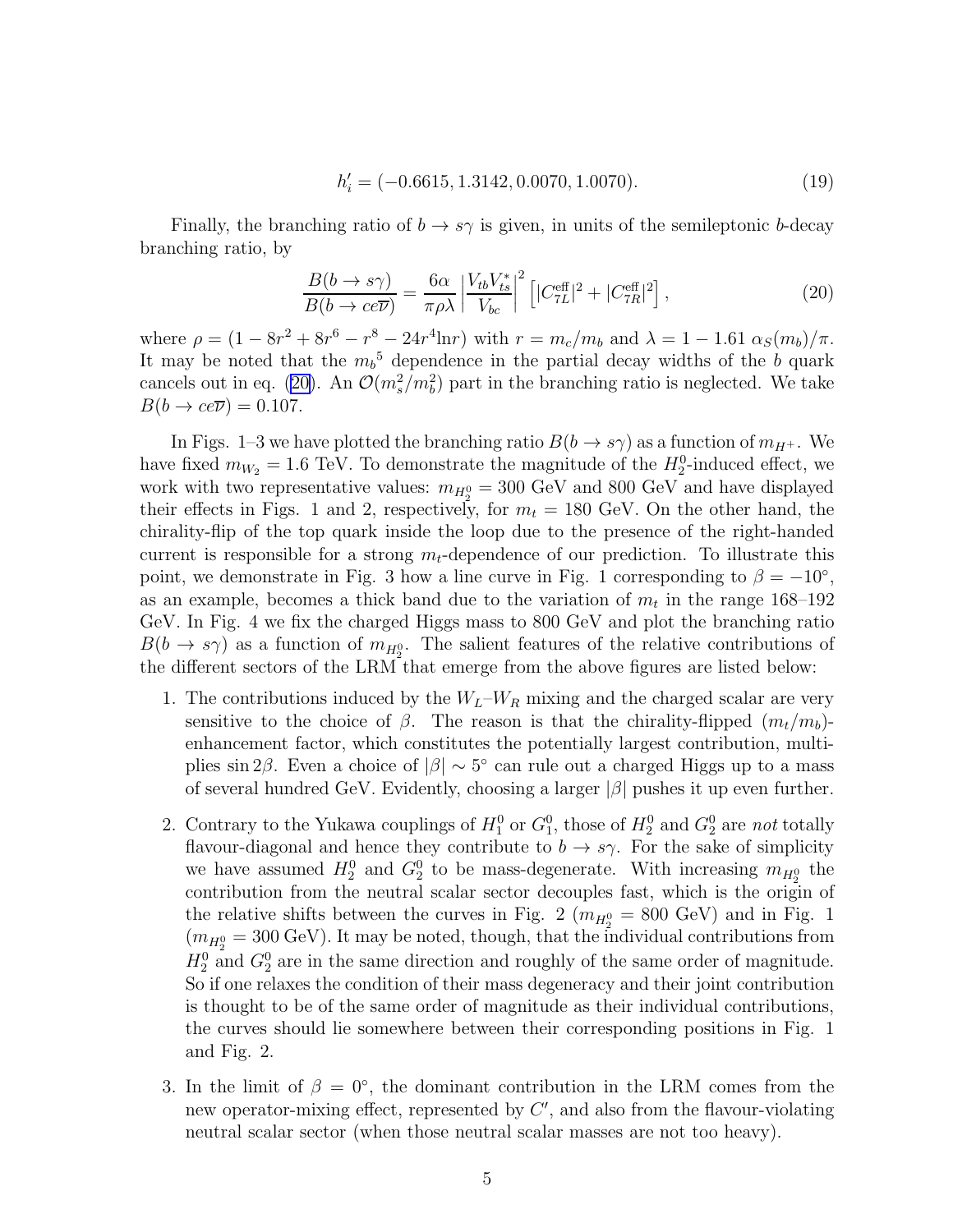$$
h_i' = (-0.6615, 1.3142, 0.0070, 1.0070). \tag{19}
$$

Finally, the branching ratio of  $b \to s\gamma$  is given, in units of the semileptonic b-decay branching ratio, by

$$
\frac{B(b \to s\gamma)}{B(b \to ce\overline{\nu})} = \frac{6\alpha}{\pi \rho \lambda} \left| \frac{V_{tb} V_{ts}^*}{V_{bc}} \right|^2 \left[ |C_{7L}^{\text{eff}}|^2 + |C_{7R}^{\text{eff}}|^2 \right],\tag{20}
$$

where  $\rho = (1 - 8r^2 + 8r^6 - r^8 - 24r^4 \ln r)$  with  $r = m_c/m_b$  and  $\lambda = 1 - 1.61 \alpha_S(m_b)/\pi$ . It may be noted that the  $m_b$ <sup>5</sup> dependence in the partial decay widths of the b quark cancels out in eq. (20). An  $\mathcal{O}(m_s^2/m_b^2)$  part in the branching ratio is neglected. We take  $B(b \to ce\overline{\nu}) = 0.107.$ 

In Figs. 1–3 we have plotted the branching ratio  $B(b \to s\gamma)$  as a function of  $m_{H^+}$ . We have fixed  $m_{W_2} = 1.6$  TeV. To demonstrate the magnitude of the  $H_2^0$ -induced effect, we work with two representative values:  $m_{H_2^0} = 300 \text{ GeV}$  and 800 GeV and have displayed their effects in Figs. 1 and 2, respectively, for  $m_t = 180$  GeV. On the other hand, the chirality-flip of the top quark inside the loop due to the presence of the right-handed current is responsible for a strong  $m_t$ -dependence of our prediction. To illustrate this point, we demonstrate in Fig. 3 how a line curve in Fig. 1 corresponding to  $\beta = -10^{\circ}$ , as an example, becomes a thick band due to the variation of  $m_t$  in the range 168–192 GeV. In Fig. 4 we fix the charged Higgs mass to 800 GeV and plot the branching ratio  $B(b \to s\gamma)$  as a function of  $m_{H_2^0}$ . The salient features of the relative contributions of the different sectors of the LRM that emerge from the above figures are listed below:

- 1. The contributions induced by the  $W_L-W_R$  mixing and the charged scalar are very sensitive to the choice of  $\beta$ . The reason is that the chirality-flipped  $(m_t/m_b)$ enhancement factor, which constitutes the potentially largest contribution, multiplies sin 2β. Even a choice of  $|\beta| \sim 5^{\circ}$  can rule out a charged Higgs up to a mass of several hundred GeV. Evidently, choosing a larger  $|\beta|$  pushes it up even further.
- 2. Contrary to the Yukawa couplings of  $H_1^0$  or  $G_1^0$ , those of  $H_2^0$  and  $G_2^0$  are not totally flavour-diagonal and hence they contribute to  $b \to s\gamma$ . For the sake of simplicity we have assumed  $H_2^0$  and  $G_2^0$  to be mass-degenerate. With increasing  $m_{H_2^0}$  the contribution from the neutral scalar sector decouples fast, which is the origin of the relative shifts between the curves in Fig. 2 ( $m_{H_2^0} = 800 \text{ GeV}$ ) and in Fig. 1  $(m_{H_2^0} = 300 \text{ GeV})$ . It may be noted, though, that the individual contributions from  $H_2^0$  and  $G_2^0$  are in the same direction and roughly of the same order of magnitude. So if one relaxes the condition of their mass degeneracy and their joint contribution is thought to be of the same order of magnitude as their individual contributions, the curves should lie somewhere between their corresponding positions in Fig. 1 and Fig. 2.
- 3. In the limit of  $\beta = 0^{\circ}$ , the dominant contribution in the LRM comes from the new operator-mixing effect, represented by  $C'$ , and also from the flavour-violating neutral scalar sector (when those neutral scalar masses are not too heavy).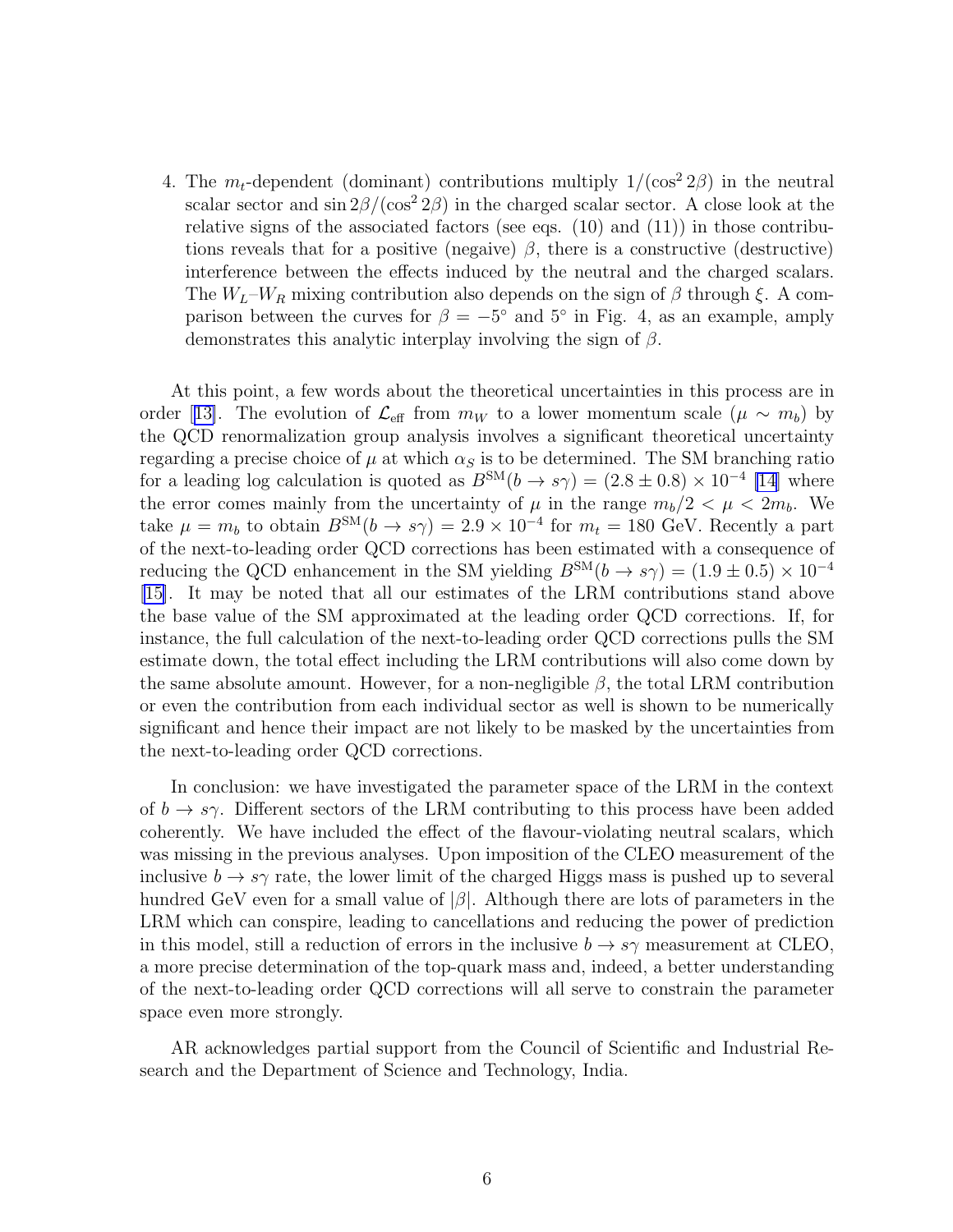4. The  $m_t$ -dependent (dominant) contributions multiply  $1/(\cos^2 2\beta)$  in the neutral scalar sector and  $\sin 2\beta/(\cos^2 2\beta)$  in the charged scalar sector. A close look at the relative signs of the associated factors (see eqs.  $(10)$  and  $(11)$ ) in those contributions reveals that for a positive (negaive)  $\beta$ , there is a constructive (destructive) interference between the effects induced by the neutral and the charged scalars. The  $W_L-W_R$  mixing contribution also depends on the sign of  $\beta$  through  $\xi$ . A comparison between the curves for  $\beta = -5^{\circ}$  and  $5^{\circ}$  in Fig. 4, as an example, amply demonstrates this analytic interplay involving the sign of  $\beta$ .

At this point, a few words about the theoretical uncertainties in this process are in order[[13\]](#page-7-0). The evolution of  $\mathcal{L}_{\text{eff}}$  from  $m_W$  to a lower momentum scale  $(\mu \sim m_b)$  by the QCD renormalization group analysis involves a significant theoretical uncertainty regarding a precise choice of  $\mu$  at which  $\alpha_S$  is to be determined. The SM branching ratio for a leading log calculation is quoted as  $B^{SM}(b \to s\gamma) = (2.8 \pm 0.8) \times 10^{-4}$  [\[14\]](#page-7-0) where the error comes mainly from the uncertainty of  $\mu$  in the range  $m_b/2 < \mu < 2m_b$ . We take  $\mu = m_b$  to obtain  $B^{SM}(b \to s\gamma) = 2.9 \times 10^{-4}$  for  $m_t = 180$  GeV. Recently a part of the next-to-leading order QCD corrections has been estimated with a consequence of reducing the QCD enhancement in the SM yielding  $B^{SM}(b \to s\gamma) = (1.9 \pm 0.5) \times 10^{-4}$ [\[15\]](#page-7-0). It may be noted that all our estimates of the LRM contributions stand above the base value of the SM approximated at the leading order QCD corrections. If, for instance, the full calculation of the next-to-leading order QCD corrections pulls the SM estimate down, the total effect including the LRM contributions will also come down by the same absolute amount. However, for a non-negligible  $\beta$ , the total LRM contribution or even the contribution from each individual sector as well is shown to be numerically significant and hence their impact are not likely to be masked by the uncertainties from the next-to-leading order QCD corrections.

In conclusion: we have investigated the parameter space of the LRM in the context of  $b \to s\gamma$ . Different sectors of the LRM contributing to this process have been added coherently. We have included the effect of the flavour-violating neutral scalars, which was missing in the previous analyses. Upon imposition of the CLEO measurement of the inclusive  $b \to s\gamma$  rate, the lower limit of the charged Higgs mass is pushed up to several hundred GeV even for a small value of  $|\beta|$ . Although there are lots of parameters in the LRM which can conspire, leading to cancellations and reducing the power of prediction in this model, still a reduction of errors in the inclusive  $b \to s\gamma$  measurement at CLEO, a more precise determination of the top-quark mass and, indeed, a better understanding of the next-to-leading order QCD corrections will all serve to constrain the parameter space even more strongly.

AR acknowledges partial support from the Council of Scientific and Industrial Research and the Department of Science and Technology, India.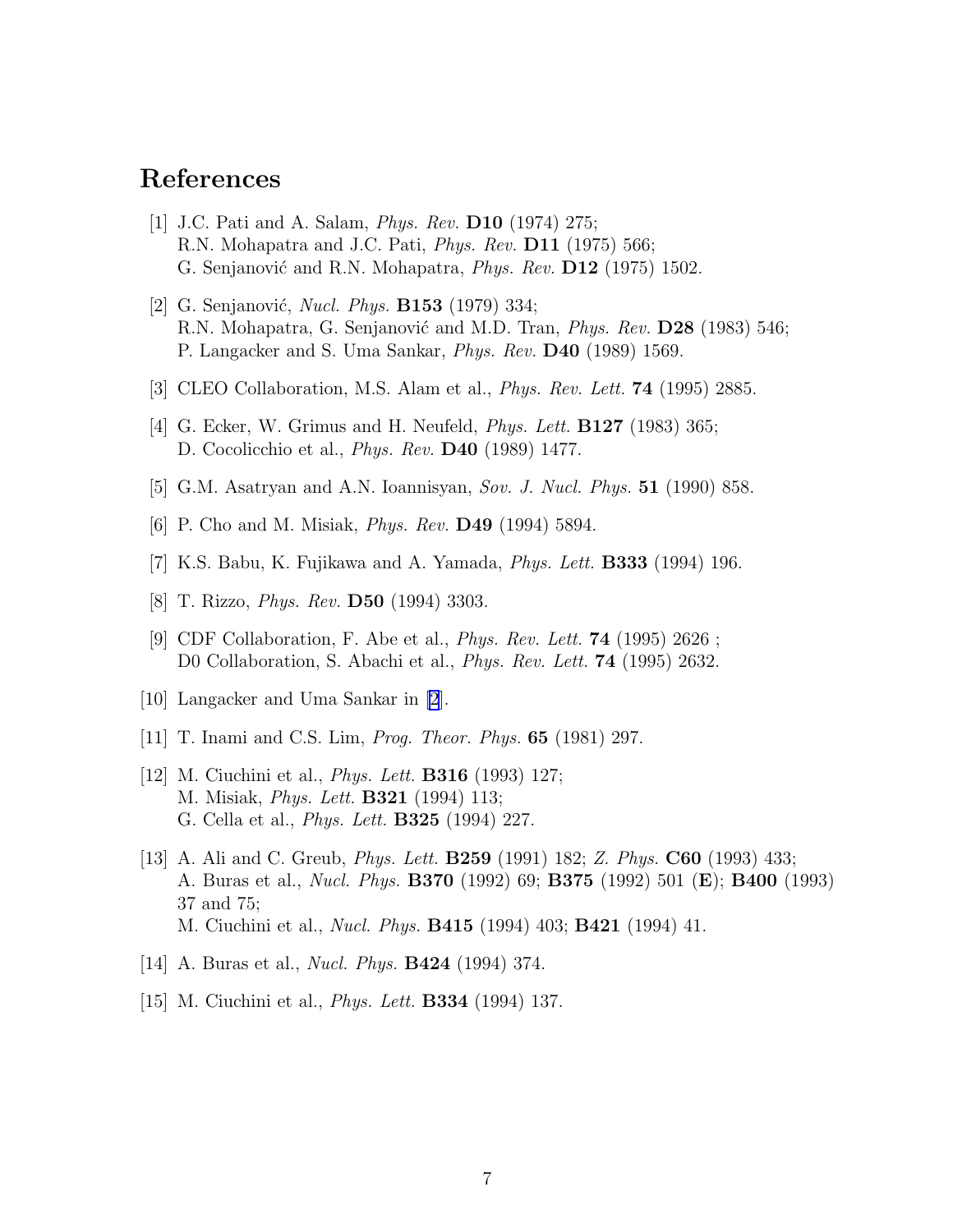## <span id="page-7-0"></span>References

- [1] J.C. Pati and A. Salam, Phys. Rev. D10 (1974) 275; R.N. Mohapatra and J.C. Pati, *Phys. Rev.* **D11** (1975) 566; G. Senjanović and R.N. Mohapatra, *Phys. Rev.* **D12** (1975) 1502.
- [2] G. Senjanović, *Nucl. Phys.* **B153** (1979) 334; R.N. Mohapatra, G. Senjanović and M.D. Tran, *Phys. Rev.* **D28** (1983) 546; P. Langacker and S. Uma Sankar, Phys. Rev. D40 (1989) 1569.
- [3] CLEO Collaboration, M.S. Alam et al., Phys. Rev. Lett. 74 (1995) 2885.
- [4] G. Ecker, W. Grimus and H. Neufeld, *Phys. Lett.* **B127** (1983) 365; D. Cocolicchio et al., Phys. Rev. D40 (1989) 1477.
- [5] G.M. Asatryan and A.N. Ioannisyan, Sov. J. Nucl. Phys. 51 (1990) 858.
- [6] P. Cho and M. Misiak, *Phys. Rev.* **D49** (1994) 5894.
- [7] K.S. Babu, K. Fujikawa and A. Yamada, *Phys. Lett.* **B333** (1994) 196.
- [8] T. Rizzo, *Phys. Rev.* **D50** (1994) 3303.
- [9] CDF Collaboration, F. Abe et al., Phys. Rev. Lett. 74 (1995) 2626 ; D0 Collaboration, S. Abachi et al., *Phys. Rev. Lett.* **74** (1995) 2632.
- [10] Langacker and Uma Sankar in [2].
- [11] T. Inami and C.S. Lim, *Prog. Theor. Phys.* **65** (1981) 297.
- [12] M. Ciuchini et al., *Phys. Lett.* **B316** (1993) 127; M. Misiak, Phys. Lett. B321 (1994) 113; G. Cella et al., Phys. Lett. B325 (1994) 227.
- [13] A. Ali and C. Greub, Phys. Lett. B259 (1991) 182; Z. Phys. C60 (1993) 433; A. Buras et al., Nucl. Phys. B370 (1992) 69; B375 (1992) 501 (E); B400 (1993) 37 and 75; M. Ciuchini et al., Nucl. Phys. B415 (1994) 403; B421 (1994) 41.
- [14] A. Buras et al., *Nucl. Phys.* **B424** (1994) 374.
- [15] M. Ciuchini et al., *Phys. Lett.* **B334** (1994) 137.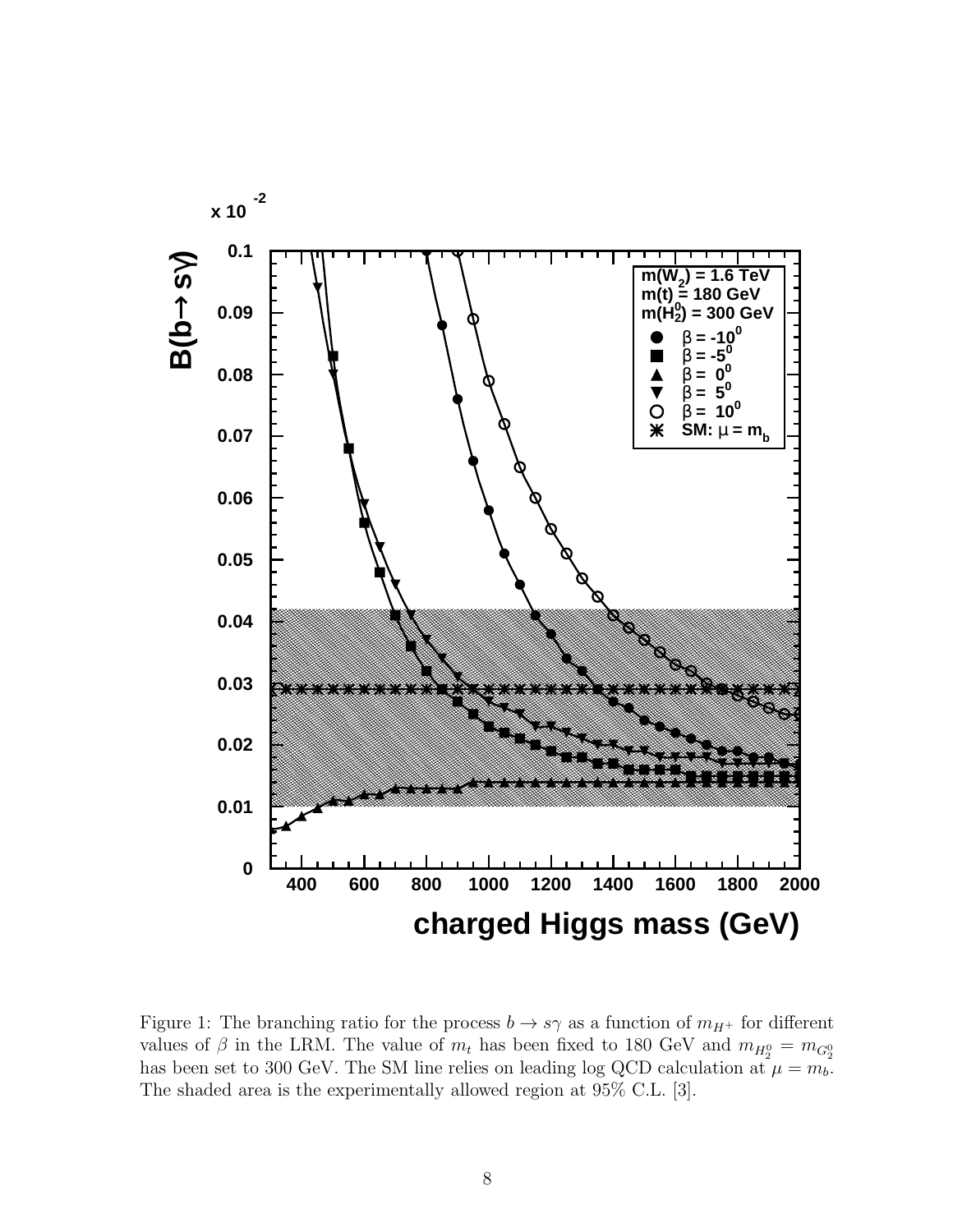

Figure 1: The branching ratio for the process  $b \to s\gamma$  as a function of  $m_{H^+}$  for different values of  $\beta$  in the LRM. The value of  $m_t$  has been fixed to 180 GeV and  $m_{H_2^0} = m_{G_2^0}$ has been set to 300 GeV. The SM line relies on leading log QCD calculation at  $\mu = m_b$ . The shaded area is the experimentally allowed region at 95% C.L. [3].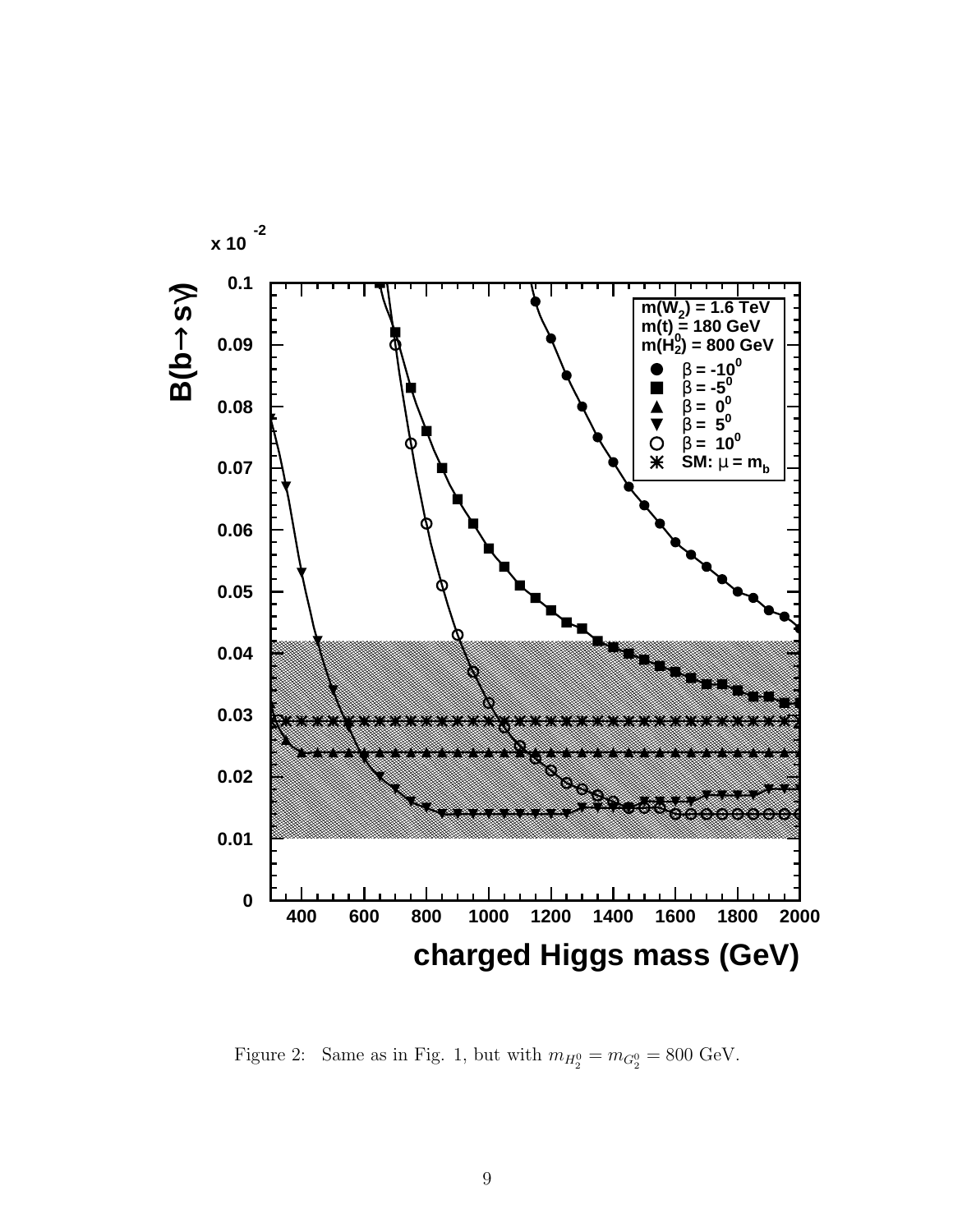

Figure 2: Same as in Fig. 1, but with  $m_{H_2^0} = m_{G_2^0} = 800 \text{ GeV}$ .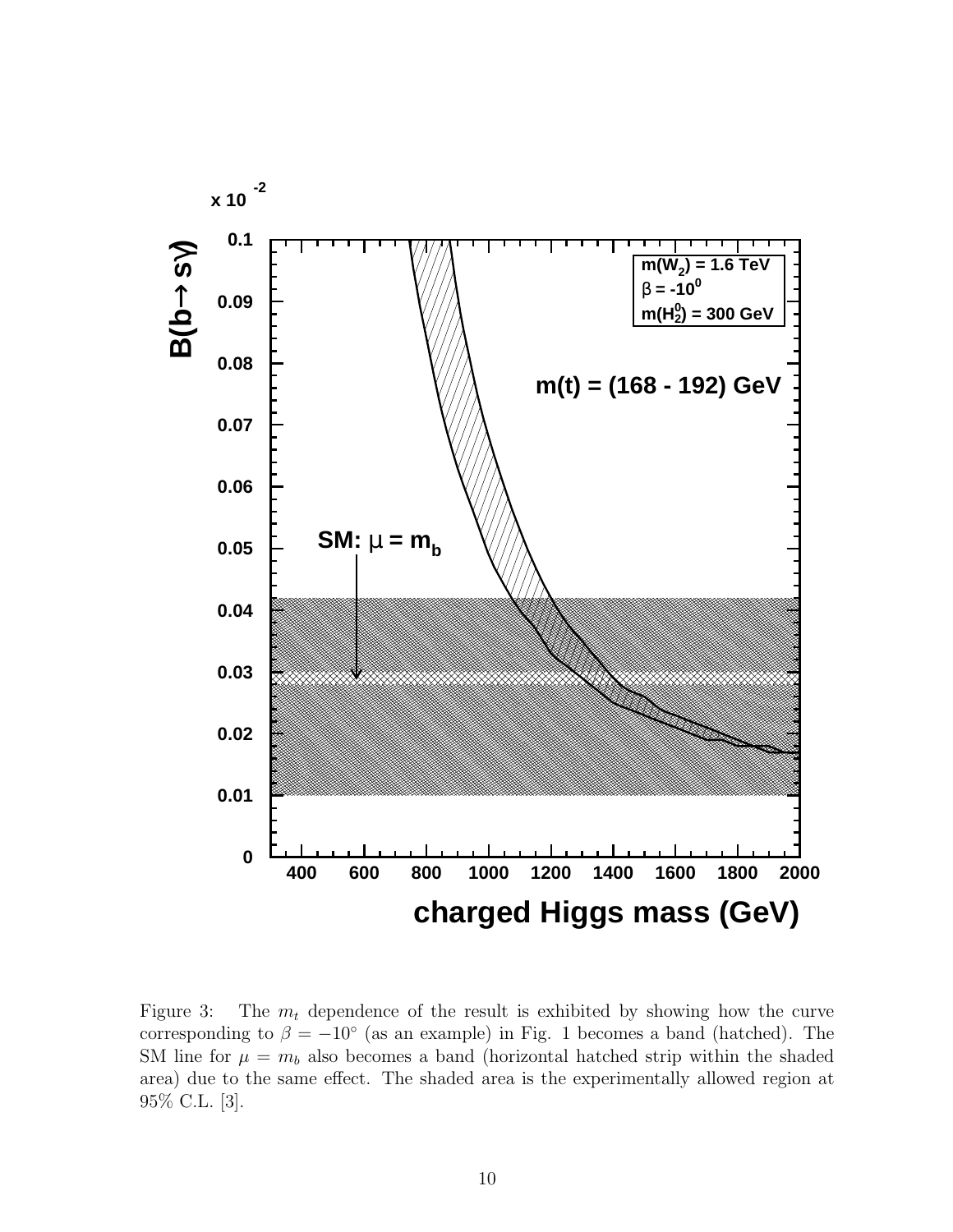

Figure 3: The  $m_t$  dependence of the result is exhibited by showing how the curve corresponding to  $\beta = -10^{\circ}$  (as an example) in Fig. 1 becomes a band (hatched). The SM line for  $\mu = m_b$  also becomes a band (horizontal hatched strip within the shaded area) due to the same effect. The shaded area is the experimentally allowed region at 95% C.L. [3].